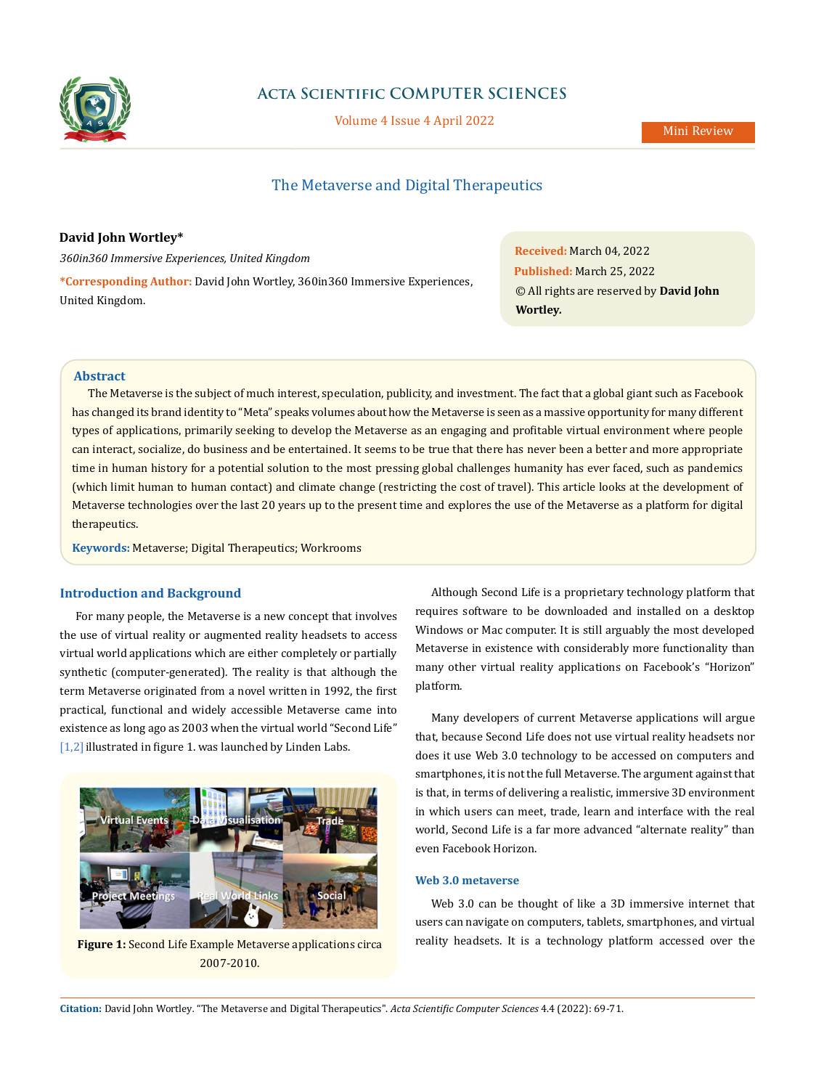

# **Acta Scientific COMPUTER SCIENCES**

Volume 4 Issue 4 April 2022

# The Metaverse and Digital Therapeutics

**David John Wortley\***

*360in360 Immersive Experiences, United Kingdom*

**\*Corresponding Author:** David John Wortley, 360in360 Immersive Experiences, United Kingdom.

**Received:** March 04, 2022 **Published:** March 25, 2022 © All rights are reserved by **David John Wortley***.*

## **Abstract**

The Metaverse is the subject of much interest, speculation, publicity, and investment. The fact that a global giant such as Facebook has changed its brand identity to "Meta" speaks volumes about how the Metaverse is seen as a massive opportunity for many different types of applications, primarily seeking to develop the Metaverse as an engaging and profitable virtual environment where people can interact, socialize, do business and be entertained. It seems to be true that there has never been a better and more appropriate time in human history for a potential solution to the most pressing global challenges humanity has ever faced, such as pandemics (which limit human to human contact) and climate change (restricting the cost of travel). This article looks at the development of Metaverse technologies over the last 20 years up to the present time and explores the use of the Metaverse as a platform for digital therapeutics.

**Keywords:** Metaverse; Digital Therapeutics; Workrooms

## **Introduction and Background**

For many people, the Metaverse is a new concept that involves the use of virtual reality or augmented reality headsets to access virtual world applications which are either completely or partially synthetic (computer-generated). The reality is that although the term Metaverse originated from a novel written in 1992, the first practical, functional and widely accessible Metaverse came into existence as long ago as 2003 when the virtual world "Second Life"  $[1,2]$  illustrated in figure 1. was launched by Linden Labs.



**Figure 1:** Second Life Example Metaverse applications circa 2007-2010.

Although Second Life is a proprietary technology platform that requires software to be downloaded and installed on a desktop Windows or Mac computer. It is still arguably the most developed Metaverse in existence with considerably more functionality than many other virtual reality applications on Facebook's "Horizon" platform.

Many developers of current Metaverse applications will argue that, because Second Life does not use virtual reality headsets nor does it use Web 3.0 technology to be accessed on computers and smartphones, it is not the full Metaverse. The argument against that is that, in terms of delivering a realistic, immersive 3D environment in which users can meet, trade, learn and interface with the real world, Second Life is a far more advanced "alternate reality" than even Facebook Horizon.

#### **Web 3.0 metaverse**

Web 3.0 can be thought of like a 3D immersive internet that users can navigate on computers, tablets, smartphones, and virtual reality headsets. It is a technology platform accessed over the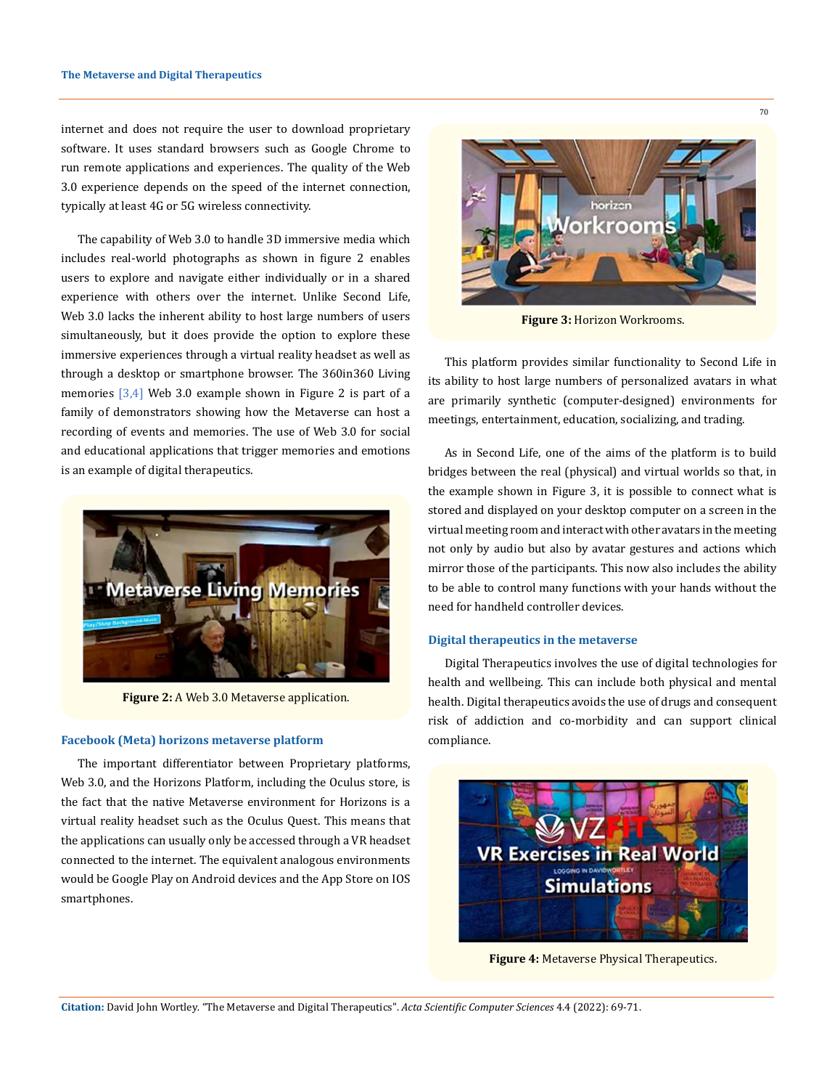internet and does not require the user to download proprietary software. It uses standard browsers such as Google Chrome to run remote applications and experiences. The quality of the Web 3.0 experience depends on the speed of the internet connection, typically at least 4G or 5G wireless connectivity.

The capability of Web 3.0 to handle 3D immersive media which includes real-world photographs as shown in figure 2 enables users to explore and navigate either individually or in a shared experience with others over the internet. Unlike Second Life, Web 3.0 lacks the inherent ability to host large numbers of users simultaneously, but it does provide the option to explore these immersive experiences through a virtual reality headset as well as through a desktop or smartphone browser. The 360in360 Living memories  $[3,4]$  Web 3.0 example shown in Figure 2 is part of a family of demonstrators showing how the Metaverse can host a recording of events and memories. The use of Web 3.0 for social and educational applications that trigger memories and emotions is an example of digital therapeutics.



**Figure 2:** A Web 3.0 Metaverse application.

#### **Facebook (Meta) horizons metaverse platform**

The important differentiator between Proprietary platforms, Web 3.0, and the Horizons Platform, including the Oculus store, is the fact that the native Metaverse environment for Horizons is a virtual reality headset such as the Oculus Quest. This means that the applications can usually only be accessed through a VR headset connected to the internet. The equivalent analogous environments would be Google Play on Android devices and the App Store on IOS smartphones.



**Figure 3:** Horizon Workrooms.

This platform provides similar functionality to Second Life in its ability to host large numbers of personalized avatars in what are primarily synthetic (computer-designed) environments for meetings, entertainment, education, socializing, and trading.

As in Second Life, one of the aims of the platform is to build bridges between the real (physical) and virtual worlds so that, in the example shown in Figure 3, it is possible to connect what is stored and displayed on your desktop computer on a screen in the virtual meeting room and interact with other avatars in the meeting not only by audio but also by avatar gestures and actions which mirror those of the participants. This now also includes the ability to be able to control many functions with your hands without the need for handheld controller devices.

#### **Digital therapeutics in the metaverse**

Digital Therapeutics involves the use of digital technologies for health and wellbeing. This can include both physical and mental health. Digital therapeutics avoids the use of drugs and consequent risk of addiction and co-morbidity and can support clinical compliance.



**Figure 4:** Metaverse Physical Therapeutics.